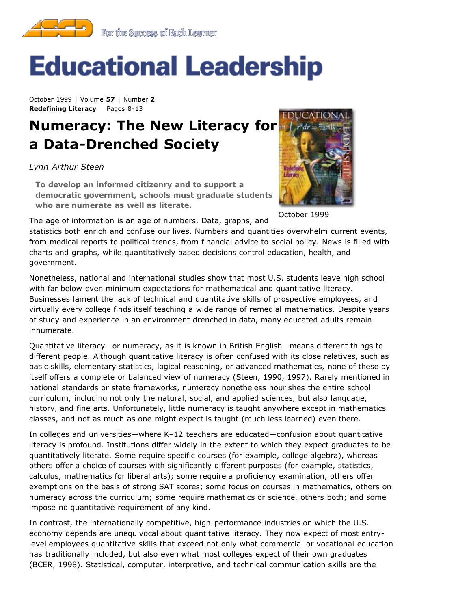

# **Educational Leadership**

October 1999 | Volume **57** | Number **2 Redefining Literacy** Pages 8-13

## **Numeracy: The New Literacy for a Data-Drenched Society**

*Lynn Arthur Steen*

**To develop an informed citizenry and to support a democratic government, schools must graduate students who are numerate as well as literate.**



October 1999

The age of information is an age of numbers. Data, graphs, and

statistics both enrich and confuse our lives. Numbers and quantities overwhelm current events, from medical reports to political trends, from financial advice to social policy. News is filled with charts and graphs, while quantitatively based decisions control education, health, and government.

Nonetheless, national and international studies show that most U.S. students leave high school with far below even minimum expectations for mathematical and quantitative literacy. Businesses lament the lack of technical and quantitative skills of prospective employees, and virtually every college finds itself teaching a wide range of remedial mathematics. Despite years of study and experience in an environment drenched in data, many educated adults remain innumerate.

Quantitative literacy—or numeracy, as it is known in British English—means different things to different people. Although quantitative literacy is often confused with its close relatives, such as basic skills, elementary statistics, logical reasoning, or advanced mathematics, none of these by itself offers a complete or balanced view of numeracy (Steen, 1990, 1997). Rarely mentioned in national standards or state frameworks, numeracy nonetheless nourishes the entire school curriculum, including not only the natural, social, and applied sciences, but also language, history, and fine arts. Unfortunately, little numeracy is taught anywhere except in mathematics classes, and not as much as one might expect is taught (much less learned) even there.

In colleges and universities—where K–12 teachers are educated—confusion about quantitative literacy is profound. Institutions differ widely in the extent to which they expect graduates to be quantitatively literate. Some require specific courses (for example, college algebra), whereas others offer a choice of courses with significantly different purposes (for example, statistics, calculus, mathematics for liberal arts); some require a proficiency examination, others offer exemptions on the basis of strong SAT scores; some focus on courses in mathematics, others on numeracy across the curriculum; some require mathematics or science, others both; and some impose no quantitative requirement of any kind.

In contrast, the internationally competitive, high-performance industries on which the U.S. economy depends are unequivocal about quantitative literacy. They now expect of most entrylevel employees quantitative skills that exceed not only what commercial or vocational education has traditionally included, but also even what most colleges expect of their own graduates (BCER, 1998). Statistical, computer, interpretive, and technical communication skills are the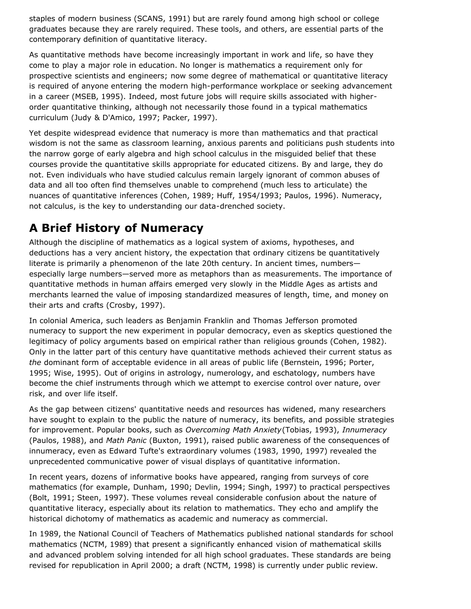staples of modern business (SCANS, 1991) but are rarely found among high school or college graduates because they are rarely required. These tools, and others, are essential parts of the contemporary definition of quantitative literacy.

As quantitative methods have become increasingly important in work and life, so have they come to play a major role in education. No longer is mathematics a requirement only for prospective scientists and engineers; now some degree of mathematical or quantitative literacy is required of anyone entering the modern high-performance workplace or seeking advancement in a career (MSEB, 1995). Indeed, most future jobs will require skills associated with higherorder quantitative thinking, although not necessarily those found in a typical mathematics curriculum (Judy & D'Amico, 1997; Packer, 1997).

Yet despite widespread evidence that numeracy is more than mathematics and that practical wisdom is not the same as classroom learning, anxious parents and politicians push students into the narrow gorge of early algebra and high school calculus in the misguided belief that these courses provide the quantitative skills appropriate for educated citizens. By and large, they do not. Even individuals who have studied calculus remain largely ignorant of common abuses of data and all too often find themselves unable to comprehend (much less to articulate) the nuances of quantitative inferences (Cohen, 1989; Huff, 1954/1993; Paulos, 1996). Numeracy, not calculus, is the key to understanding our data-drenched society.

#### **A Brief History of Numeracy**

Although the discipline of mathematics as a logical system of axioms, hypotheses, and deductions has a very ancient history, the expectation that ordinary citizens be quantitatively literate is primarily a phenomenon of the late 20th century. In ancient times, numbers especially large numbers—served more as metaphors than as measurements. The importance of quantitative methods in human affairs emerged very slowly in the Middle Ages as artists and merchants learned the value of imposing standardized measures of length, time, and money on their arts and crafts (Crosby, 1997).

In colonial America, such leaders as Benjamin Franklin and Thomas Jefferson promoted numeracy to support the new experiment in popular democracy, even as skeptics questioned the legitimacy of policy arguments based on empirical rather than religious grounds (Cohen, 1982). Only in the latter part of this century have quantitative methods achieved their current status as *the* dominant form of acceptable evidence in all areas of public life (Bernstein, 1996; Porter, 1995; Wise, 1995). Out of origins in astrology, numerology, and eschatology, numbers have become the chief instruments through which we attempt to exercise control over nature, over risk, and over life itself.

As the gap between citizens' quantitative needs and resources has widened, many researchers have sought to explain to the public the nature of numeracy, its benefits, and possible strategies for improvement. Popular books, such as *Overcoming Math Anxiety*(Tobias, 1993), *Innumeracy* (Paulos, 1988), and *Math Panic* (Buxton, 1991), raised public awareness of the consequences of innumeracy, even as Edward Tufte's extraordinary volumes (1983, 1990, 1997) revealed the unprecedented communicative power of visual displays of quantitative information.

In recent years, dozens of informative books have appeared, ranging from surveys of core mathematics (for example, Dunham, 1990; Devlin, 1994; Singh, 1997) to practical perspectives (Bolt, 1991; Steen, 1997). These volumes reveal considerable confusion about the nature of quantitative literacy, especially about its relation to mathematics. They echo and amplify the historical dichotomy of mathematics as academic and numeracy as commercial.

In 1989, the National Council of Teachers of Mathematics published national standards for school mathematics (NCTM, 1989) that present a significantly enhanced vision of mathematical skills and advanced problem solving intended for all high school graduates. These standards are being revised for republication in April 2000; a draft (NCTM, 1998) is currently under public review.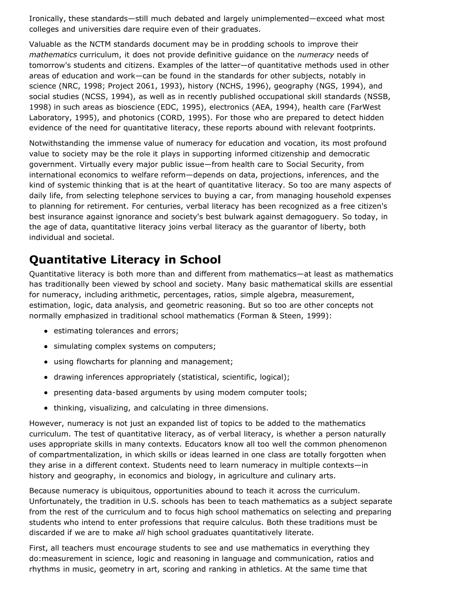Ironically, these standards—still much debated and largely unimplemented—exceed what most colleges and universities dare require even of their graduates.

Valuable as the NCTM standards document may be in prodding schools to improve their *mathematics* curriculum, it does not provide definitive guidance on the *numeracy* needs of tomorrow's students and citizens. Examples of the latter—of quantitative methods used in other areas of education and work—can be found in the standards for other subjects, notably in science (NRC, 1998; Project 2061, 1993), history (NCHS, 1996), geography (NGS, 1994), and social studies (NCSS, 1994), as well as in recently published occupational skill standards (NSSB, 1998) in such areas as bioscience (EDC, 1995), electronics (AEA, 1994), health care (FarWest Laboratory, 1995), and photonics (CORD, 1995). For those who are prepared to detect hidden evidence of the need for quantitative literacy, these reports abound with relevant footprints.

Notwithstanding the immense value of numeracy for education and vocation, its most profound value to society may be the role it plays in supporting informed citizenship and democratic government. Virtually every major public issue—from health care to Social Security, from international economics to welfare reform—depends on data, projections, inferences, and the kind of systemic thinking that is at the heart of quantitative literacy. So too are many aspects of daily life, from selecting telephone services to buying a car, from managing household expenses to planning for retirement. For centuries, verbal literacy has been recognized as a free citizen's best insurance against ignorance and society's best bulwark against demagoguery. So today, in the age of data, quantitative literacy joins verbal literacy as the guarantor of liberty, both individual and societal.

### **Quantitative Literacy in School**

Quantitative literacy is both more than and different from mathematics—at least as mathematics has traditionally been viewed by school and society. Many basic mathematical skills are essential for numeracy, including arithmetic, percentages, ratios, simple algebra, measurement, estimation, logic, data analysis, and geometric reasoning. But so too are other concepts not normally emphasized in traditional school mathematics (Forman & Steen, 1999):

- estimating tolerances and errors;
- simulating complex systems on computers;
- using flowcharts for planning and management;
- drawing inferences appropriately (statistical, scientific, logical);
- presenting data-based arguments by using modem computer tools;
- thinking, visualizing, and calculating in three dimensions.

However, numeracy is not just an expanded list of topics to be added to the mathematics curriculum. The test of quantitative literacy, as of verbal literacy, is whether a person naturally uses appropriate skills in many contexts. Educators know all too well the common phenomenon of compartmentalization, in which skills or ideas learned in one class are totally forgotten when they arise in a different context. Students need to learn numeracy in multiple contexts—in history and geography, in economics and biology, in agriculture and culinary arts.

Because numeracy is ubiquitous, opportunities abound to teach it across the curriculum. Unfortunately, the tradition in U.S. schools has been to teach mathematics as a subject separate from the rest of the curriculum and to focus high school mathematics on selecting and preparing students who intend to enter professions that require calculus. Both these traditions must be discarded if we are to make *all* high school graduates quantitatively literate.

First, all teachers must encourage students to see and use mathematics in everything they do:measurement in science, logic and reasoning in language and communication, ratios and rhythms in music, geometry in art, scoring and ranking in athletics. At the same time that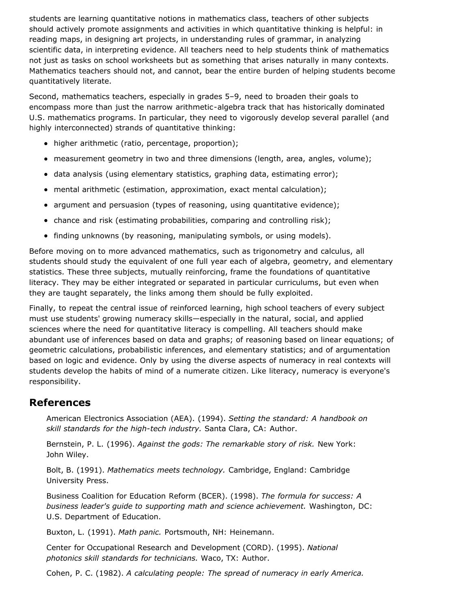students are learning quantitative notions in mathematics class, teachers of other subjects should actively promote assignments and activities in which quantitative thinking is helpful: in reading maps, in designing art projects, in understanding rules of grammar, in analyzing scientific data, in interpreting evidence. All teachers need to help students think of mathematics not just as tasks on school worksheets but as something that arises naturally in many contexts. Mathematics teachers should not, and cannot, bear the entire burden of helping students become quantitatively literate.

Second, mathematics teachers, especially in grades 5–9, need to broaden their goals to encompass more than just the narrow arithmetic-algebra track that has historically dominated U.S. mathematics programs. In particular, they need to vigorously develop several parallel (and highly interconnected) strands of quantitative thinking:

- higher arithmetic (ratio, percentage, proportion);
- measurement geometry in two and three dimensions (length, area, angles, volume);
- data analysis (using elementary statistics, graphing data, estimating error);
- mental arithmetic (estimation, approximation, exact mental calculation);
- argument and persuasion (types of reasoning, using quantitative evidence);
- chance and risk (estimating probabilities, comparing and controlling risk);
- finding unknowns (by reasoning, manipulating symbols, or using models).

Before moving on to more advanced mathematics, such as trigonometry and calculus, all students should study the equivalent of one full year each of algebra, geometry, and elementary statistics. These three subjects, mutually reinforcing, frame the foundations of quantitative literacy. They may be either integrated or separated in particular curriculums, but even when they are taught separately, the links among them should be fully exploited.

Finally, to repeat the central issue of reinforced learning, high school teachers of every subject must use students' growing numeracy skills—especially in the natural, social, and applied sciences where the need for quantitative literacy is compelling. All teachers should make abundant use of inferences based on data and graphs; of reasoning based on linear equations; of geometric calculations, probabilistic inferences, and elementary statistics; and of argumentation based on logic and evidence. Only by using the diverse aspects of numeracy in real contexts will students develop the habits of mind of a numerate citizen. Like literacy, numeracy is everyone's responsibility.

#### **References**

American Electronics Association (AEA). (1994). *Setting the standard: A handbook on skill standards for the high-tech industry.* Santa Clara, CA: Author.

Bernstein, P. L. (1996). *Against the gods: The remarkable story of risk.* New York: John Wiley.

Bolt, B. (1991). *Mathematics meets technology.* Cambridge, England: Cambridge University Press.

Business Coalition for Education Reform (BCER). (1998). *The formula for success: A business leader's guide to supporting math and science achievement.* Washington, DC: U.S. Department of Education.

Buxton, L. (1991). *Math panic.* Portsmouth, NH: Heinemann.

Center for Occupational Research and Development (CORD). (1995). *National photonics skill standards for technicians.* Waco, TX: Author.

Cohen, P. C. (1982). *A calculating people: The spread of numeracy in early America.*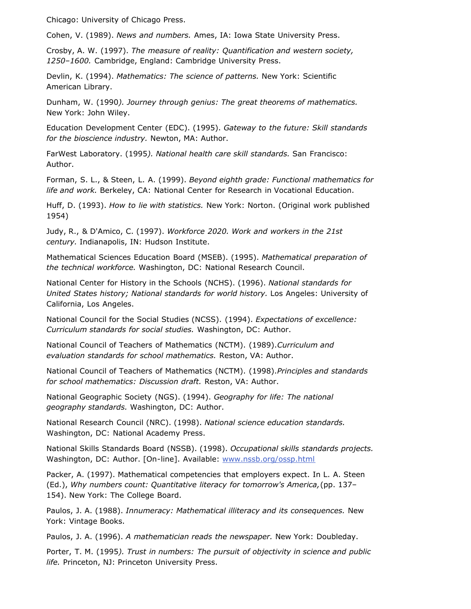Chicago: University of Chicago Press.

Cohen, V. (1989). *News and numbers.* Ames, IA: Iowa State University Press.

Crosby, A. W. (1997). *The measure of reality: Quantification and western society, 1250–1600.* Cambridge, England: Cambridge University Press.

Devlin, K. (1994). *Mathematics: The science of patterns.* New York: Scientific American Library.

Dunham, W. (1990*). Journey through genius: The great theorems of mathematics.* New York: John Wiley.

Education Development Center (EDC). (1995). *Gateway to the future: Skill standards for the bioscience industry.* Newton, MA: Author.

FarWest Laboratory. (1995*). National health care skill standards.* San Francisco: Author.

Forman, S. L., & Steen, L. A. (1999). *Beyond eighth grade: Functional mathematics for life and work.* Berkeley, CA: National Center for Research in Vocational Education.

Huff, D. (1993). *How to lie with statistics.* New York: Norton. (Original work published 1954)

Judy, R., & D'Amico, C. (1997). *Workforce 2020. Work and workers in the 21st century.* Indianapolis, IN: Hudson Institute.

Mathematical Sciences Education Board (MSEB). (1995). *Mathematical preparation of the technical workforce.* Washington, DC: National Research Council.

National Center for History in the Schools (NCHS). (1996). *National standards for United States history; National standards for world history.* Los Angeles: University of California, Los Angeles.

National Council for the Social Studies (NCSS). (1994). *Expectations of excellence: Curriculum standards for social studies.* Washington, DC: Author.

National Council of Teachers of Mathematics (NCTM). (1989).*Curriculum and evaluation standards for school mathematics.* Reston, VA: Author.

National Council of Teachers of Mathematics (NCTM). (1998).*Principles and standards for school mathematics: Discussion draft.* Reston, VA: Author.

National Geographic Society (NGS). (1994). *Geography for life: The national geography standards.* Washington, DC: Author.

National Research Council (NRC). (1998). *National science education standards.* Washington, DC: National Academy Press.

National Skills Standards Board (NSSB). (1998). *Occupational skills standards projects.* Washington, DC: Author. [On-line]. Available: [www.nssb.org/ossp.html](http://www.nssb.org/ossp.html)

Packer, A. (1997). Mathematical competencies that employers expect. In L. A. Steen (Ed.), *Why numbers count: Quantitative literacy for tomorrow's America,*(pp. 137– 154). New York: The College Board.

Paulos, J. A. (1988). *Innumeracy: Mathematical illiteracy and its consequences.* New York: Vintage Books.

Paulos, J. A. (1996). *A mathematician reads the newspaper.* New York: Doubleday.

Porter, T. M. (1995*). Trust in numbers: The pursuit of objectivity in science and public life.* Princeton, NJ: Princeton University Press.